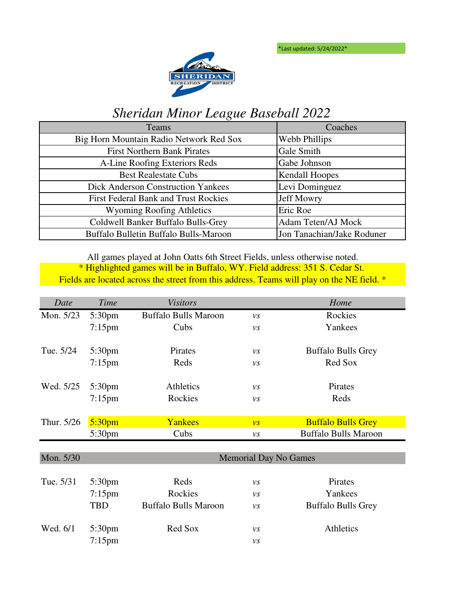\*Last updated: 5/24/2022\*



## *Sheridan Minor League Baseball 2022*

| Teams                                       | Coaches                    |
|---------------------------------------------|----------------------------|
| Big Horn Mountain Radio Network Red Sox     | Webb Phillips              |
| <b>First Northern Bank Pirates</b>          | Gale Smith                 |
| A-Line Roofing Exteriors Reds               | Gabe Johnson               |
| <b>Best Realestate Cubs</b>                 | <b>Kendall Hoopes</b>      |
| <b>Dick Anderson Construction Yankees</b>   | Levi Dominguez             |
| <b>First Federal Bank and Trust Rockies</b> | <b>Jeff Mowry</b>          |
| <b>Wyoming Roofing Athletics</b>            | Eric Roe                   |
| Coldwell Banker Buffalo Bulls-Grey          | Adam Teten/AJ Mock         |
| Buffalo Bulletin Buffalo Bulls-Maroon       | Jon Tanachian/Jake Roduner |

\* Highlighted games will be in Buffalo, WY. Field address: 351 S. Cedar St. Fields are located across the street from this address. Teams will play on the NE field. \* All games played at John Oatts 6th Street Fields, unless otherwise noted.

| Date       | Time               | <b>Visitors</b>              |                          | Home                        |
|------------|--------------------|------------------------------|--------------------------|-----------------------------|
| Mon. 5/23  | 5:30pm             | <b>Buffalo Bulls Maroon</b>  | $\mathcal{V}\mathcal{S}$ | Rockies                     |
|            | $7:15$ pm          | Cubs                         | $\nu s$                  | Yankees                     |
|            |                    |                              |                          |                             |
| Tue. 5/24  | 5:30 <sub>pm</sub> | Pirates                      | $\nu s$                  | <b>Buffalo Bulls Grey</b>   |
|            | $7:15$ pm          | Reds                         | $\mathcal{V}\mathcal{S}$ | Red Sox                     |
| Wed. 5/25  | 5:30pm             | Athletics                    | $\nu s$                  | Pirates                     |
|            | $7:15$ pm          | Rockies                      | VS                       | Reds                        |
|            |                    |                              |                          |                             |
| Thur. 5/26 | 5:30 <sub>pm</sub> | Yankees                      | $\overline{\nu s}$       | <b>Buffalo Bulls Grey</b>   |
|            | 5:30 <sub>pm</sub> | Cubs                         | VS                       | <b>Buffalo Bulls Maroon</b> |
|            |                    |                              |                          |                             |
| Mon. 5/30  |                    | <b>Memorial Day No Games</b> |                          |                             |
|            |                    |                              |                          |                             |
| Tue. 5/31  | 5:30pm             | Reds                         | $\nu s$                  | Pirates                     |
|            | $7:15$ pm          | Rockies                      | $\nu s$                  | Yankees                     |
|            | <b>TBD</b>         | <b>Buffalo Bulls Maroon</b>  | $\nu s$                  | <b>Buffalo Bulls Grey</b>   |
| Wed. 6/1   | 5:30 <sub>pm</sub> | Red Sox                      | $\nu s$                  | Athletics                   |
|            | $7:15$ pm          |                              | VS                       |                             |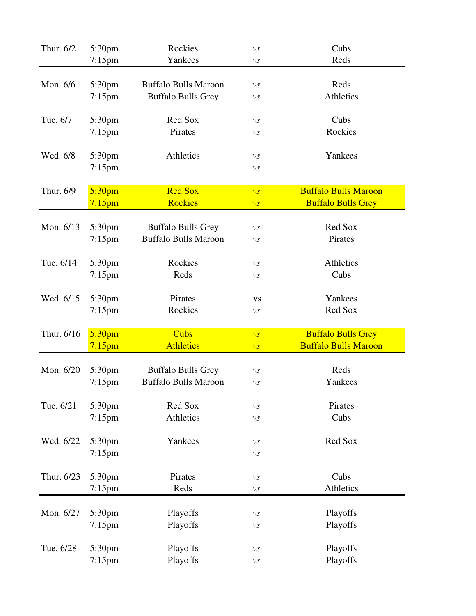| Thur. 6/2  | 5:30pm              | Rockies                     | $\nu s$                  | Cubs                        |
|------------|---------------------|-----------------------------|--------------------------|-----------------------------|
|            | $7:15$ pm           | Yankees                     | νs                       | Reds                        |
| Mon. 6/6   |                     | <b>Buffalo Bulls Maroon</b> |                          | Reds                        |
|            | 5:30pm<br>$7:15$ pm | <b>Buffalo Bulls Grey</b>   | $\nu s$                  | Athletics                   |
|            |                     |                             | νs                       |                             |
| Tue. 6/7   | 5:30pm              | Red Sox                     | νs                       | Cubs                        |
|            | $7:15$ pm           | Pirates                     | νs                       | Rockies                     |
| Wed. 6/8   | 5:30pm              | Athletics                   |                          | Yankees                     |
|            | $7:15$ pm           |                             | νs<br>νs                 |                             |
|            |                     |                             |                          |                             |
| Thur. 6/9  | 5:30 <sub>pm</sub>  | <b>Red Sox</b>              | $\overline{\nu s}$       | <b>Buffalo Bulls Maroon</b> |
|            | $7:15$ pm           | <b>Rockies</b>              | $\overline{\nu s}$       | <b>Buffalo Bulls Grey</b>   |
| Mon. 6/13  | 5:30pm              | <b>Buffalo Bulls Grey</b>   |                          | Red Sox                     |
|            | $7:15$ pm           | <b>Buffalo Bulls Maroon</b> | νs                       | Pirates                     |
|            |                     |                             | νs                       |                             |
| Tue. 6/14  | 5:30pm              | Rockies                     | VS.                      | Athletics                   |
|            | $7:15$ pm           | Reds                        | VS                       | Cubs                        |
| Wed. 6/15  |                     | Pirates                     |                          | Yankees                     |
|            | 5:30pm<br>$7:15$ pm | Rockies                     | <b>VS</b>                | Red Sox                     |
|            |                     |                             | νs                       |                             |
| Thur. 6/16 | 5:30 <sub>pm</sub>  | <b>Cubs</b>                 | $\overline{\nu s}$       | <b>Buffalo Bulls Grey</b>   |
|            | $7:15$ pm           | <b>Athletics</b>            | $\overline{\nu s}$       | <b>Buffalo Bulls Maroon</b> |
| Mon. 6/20  | 5:30pm              | <b>Buffalo Bulls Grey</b>   |                          | Reds                        |
|            | $7:15$ pm           | <b>Buffalo Bulls Maroon</b> | νs                       | Yankees                     |
|            |                     |                             | VS                       |                             |
| Tue. 6/21  | 5:30pm              | Red Sox                     | $\nu s$                  | Pirates                     |
|            | $7:15$ pm           | Athletics                   | νs                       | Cubs                        |
| Wed. 6/22  | 5:30pm              | Yankees                     |                          | Red Sox                     |
|            | $7:15$ pm           |                             | νs                       |                             |
|            |                     |                             | νs                       |                             |
| Thur. 6/23 | 5:30pm              | Pirates                     | $\mathcal{V}\mathcal{S}$ | Cubs                        |
|            | $7:15$ pm           | Reds                        | $\nu s$                  | Athletics                   |
| Mon. 6/27  |                     |                             |                          |                             |
|            | 5:30pm              | Playoffs                    | νs                       | Playoffs                    |
|            | $7:15$ pm           | Playoffs                    | νs                       | Playoffs                    |
| Tue. 6/28  | 5:30pm              | Playoffs                    | νs                       | Playoffs                    |
|            | $7:15$ pm           | Playoffs                    | $\nu s$                  | Playoffs                    |